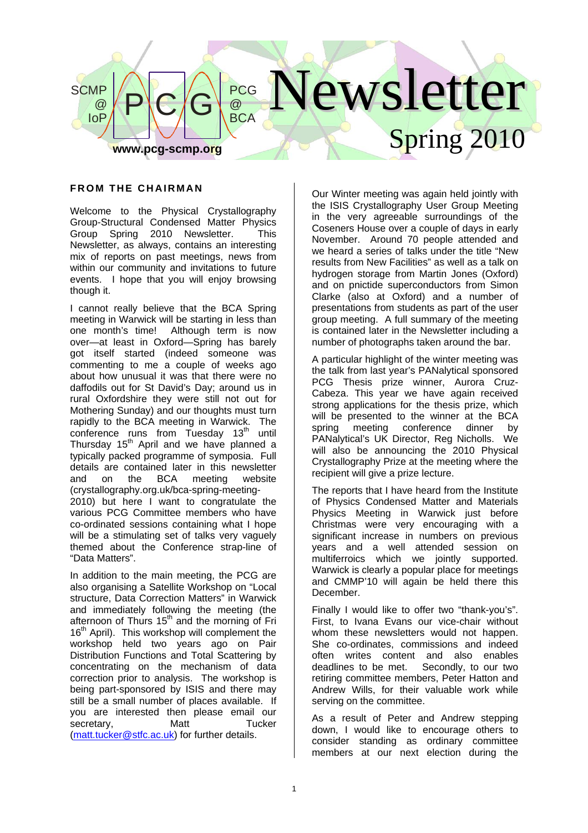

## **FROM THE CHAIRMAN**

Welcome to the Physical Crystallography Group-Structural Condensed Matter Physics Group Spring 2010 Newsletter. This Newsletter, as always, contains an interesting mix of reports on past meetings, news from within our community and invitations to future events. I hope that you will enjoy browsing though it.

I cannot really believe that the BCA Spring meeting in Warwick will be starting in less than one month's time! Although term is now over—at least in Oxford—Spring has barely got itself started (indeed someone was commenting to me a couple of weeks ago about how unusual it was that there were no daffodils out for St David's Day; around us in rural Oxfordshire they were still not out for Mothering Sunday) and our thoughts must turn rapidly to the BCA meeting in Warwick. The conference runs from Tuesday 13<sup>th</sup> until Thursday 15<sup>th</sup> April and we have planned a typically packed programme of symposia. Full details are contained later in this newsletter and on the BCA meeting website (crystallography.org.uk/bca-spring-meeting-2010) but here I want to congratulate the various PCG Committee members who have

co-ordinated sessions containing what I hope will be a stimulating set of talks very vaguely themed about the Conference strap-line of "Data Matters".

In addition to the main meeting, the PCG are also organising a Satellite Workshop on "Local structure, Data Correction Matters" in Warwick and immediately following the meeting (the afternoon of Thurs 15<sup>th</sup> and the morning of Fri 16<sup>th</sup> April). This workshop will complement the workshop held two years ago on Pair Distribution Functions and Total Scattering by concentrating on the mechanism of data correction prior to analysis. The workshop is being part-sponsored by ISIS and there may still be a small number of places available. If you are interested then please email our<br>secretary Matt Fucker secretary, Matt Tucker (matt.tucker@stfc.ac.uk) for further details.

Our Winter meeting was again held jointly with the ISIS Crystallography User Group Meeting in the very agreeable surroundings of the Coseners House over a couple of days in early November. Around 70 people attended and we heard a series of talks under the title "New results from New Facilities" as well as a talk on hydrogen storage from Martin Jones (Oxford) and on pnictide superconductors from Simon Clarke (also at Oxford) and a number of presentations from students as part of the user group meeting. A full summary of the meeting is contained later in the Newsletter including a number of photographs taken around the bar.

A particular highlight of the winter meeting was the talk from last year's PANalytical sponsored PCG Thesis prize winner, Aurora Cruz-Cabeza. This year we have again received strong applications for the thesis prize, which will be presented to the winner at the BCA spring meeting conference dinner by PANalytical's UK Director, Reg Nicholls. We will also be announcing the 2010 Physical Crystallography Prize at the meeting where the recipient will give a prize lecture.

The reports that I have heard from the Institute of Physics Condensed Matter and Materials Physics Meeting in Warwick just before Christmas were very encouraging with a significant increase in numbers on previous years and a well attended session on multiferroics which we jointly supported. Warwick is clearly a popular place for meetings and CMMP'10 will again be held there this **December** 

Finally I would like to offer two "thank-you's". First, to Ivana Evans our vice-chair without whom these newsletters would not happen. She co-ordinates, commissions and indeed often writes content and also enables deadlines to be met. Secondly, to our two retiring committee members, Peter Hatton and Andrew Wills, for their valuable work while serving on the committee.

As a result of Peter and Andrew stepping down, I would like to encourage others to consider standing as ordinary committee members at our next election during the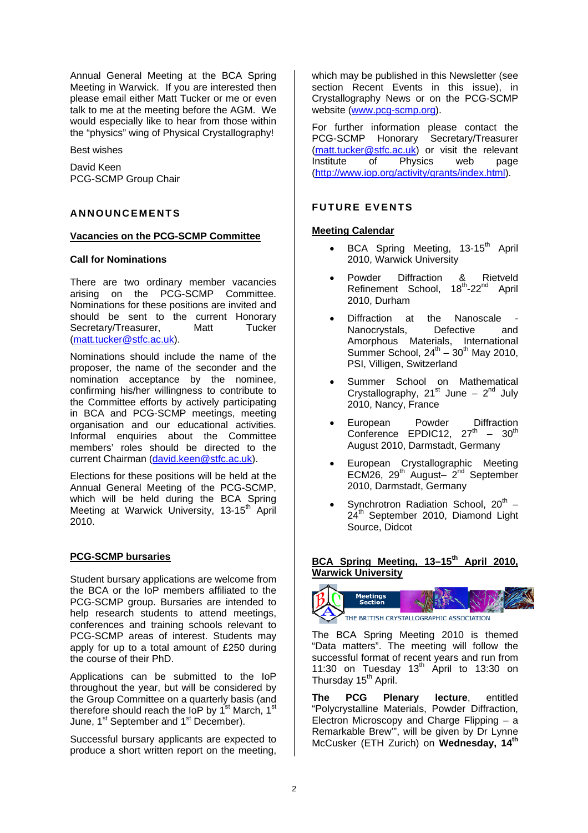Annual General Meeting at the BCA Spring Meeting in Warwick. If you are interested then please email either Matt Tucker or me or even talk to me at the meeting before the AGM. We would especially like to hear from those within the "physics" wing of Physical Crystallography!

Best wishes

David Keen PCG-SCMP Group Chair

## **ANNOUNCEMENTS**

#### **Vacancies on the PCG-SCMP Committee**

## **Call for Nominations**

There are two ordinary member vacancies arising on the PCG-SCMP Committee. Nominations for these positions are invited and should be sent to the current Honorary Secretary/Treasurer, Matt Tucker (matt.tucker@stfc.ac.uk).

Nominations should include the name of the proposer, the name of the seconder and the nomination acceptance by the nominee, confirming his/her willingness to contribute to the Committee efforts by actively participating in BCA and PCG-SCMP meetings, meeting organisation and our educational activities. Informal enquiries about the Committee members' roles should be directed to the current Chairman (david.keen@stfc.ac.uk).

Elections for these positions will be held at the Annual General Meeting of the PCG-SCMP, which will be held during the BCA Spring Meeting at Warwick University, 13-15<sup>th</sup> April 2010.

## **PCG-SCMP bursaries**

Student bursary applications are welcome from the BCA or the IoP members affiliated to the PCG-SCMP group. Bursaries are intended to help research students to attend meetings, conferences and training schools relevant to PCG-SCMP areas of interest. Students may apply for up to a total amount of £250 during the course of their PhD.

Applications can be submitted to the IoP throughout the year, but will be considered by the Group Committee on a quarterly basis (and therefore should reach the  $\overline{1}$ oP by 1<sup>st</sup> March, 1<sup>st</sup> June,  $1^{st}$  September and  $1^{st}$  December).

Successful bursary applicants are expected to produce a short written report on the meeting, which may be published in this Newsletter (see section Recent Events in this issue), in Crystallography News or on the PCG-SCMP website (www.pcg-scmp.org).

For further information please contact the PCG-SCMP Honorary Secretary/Treasurer (matt.tucker@stfc.ac.uk) or visit the relevant Institute of Physics web page (http://www.iop.org/activity/grants/index.html).

## **FUTURE EVENTS**

## **Meeting Calendar**

- BCA Spring Meeting, 13-15<sup>th</sup> April 2010, Warwick University
- Powder Diffraction & Rietveld Refinement School, 18<sup>th</sup>-22<sup>nd</sup> April 2010, Durham
- Diffraction at the Nanoscale Nanocrystals, Defective and Amorphous Materials, International Summer School,  $24^{th} - 30^{th}$  May 2010, PSI, Villigen, Switzerland
- Summer School on Mathematical Crystallography, 21<sup>st</sup> June – 2<sup>nd</sup> July 2010, Nancy, France
- European Powder Diffraction Conference EPDIC12,  $27<sup>th</sup> - 30<sup>th</sup>$ August 2010, Darmstadt, Germany
- European Crystallographic Meeting ECM26,  $29^{th}$  August–  $2^{nd}$  September 2010, Darmstadt, Germany
- Synchrotron Radiation School,  $20^{th}$  24<sup>th</sup> September 2010, Diamond Light Source, Didcot

# BCA Spring Meeting, 13-15<sup>th</sup> April 2010, **Warwick University**



The BCA Spring Meeting 2010 is themed "Data matters". The meeting will follow the successful format of recent years and run from 11:30 on Tuesday  $13<sup>th</sup>$  April to 13:30 on Thursday 15<sup>th</sup> April.

**The PCG Plenary lecture**, entitled "Polycrystalline Materials, Powder Diffraction, Electron Microscopy and Charge Flipping – a Remarkable Brew'", will be given by Dr Lynne McCusker (ETH Zurich) on **Wednesday, 14th**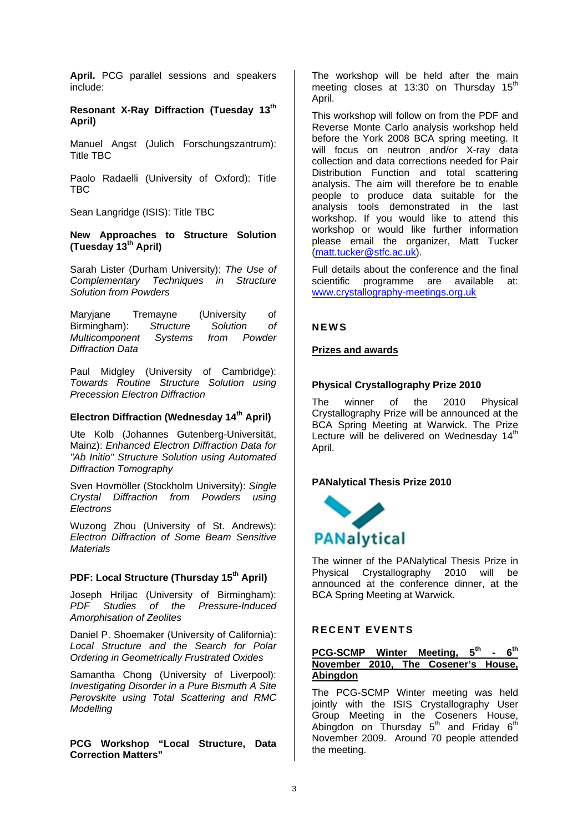**April.** PCG parallel sessions and speakers include:

**Resonant X-Ray Diffraction (Tuesday 13th April)** 

Manuel Angst (Julich Forschungszantrum): Title TBC

Paolo Radaelli (University of Oxford): Title TBC

Sean Langridge (ISIS): Title TBC

#### **New Approaches to Structure Solution (Tuesday 13th April)**

Sarah Lister (Durham University): *The Use of Complementary Techniques in Structure Solution from Powders* 

Maryjane Tremayne (University of Birmingham): *Structure Solution of Multicomponent Systems from Powder Diffraction Data* 

Paul Midgley (University of Cambridge): *Towards Routine Structure Solution using Precession Electron Diffraction* 

# **Electron Diffraction (Wednesday 14th April)**

Ute Kolb (Johannes Gutenberg-Universität, Mainz): *Enhanced Electron Diffraction Data for "Ab Initio" Structure Solution using Automated Diffraction Tomography* 

Sven Hovmöller (Stockholm University): *Single Crystal Diffraction from Powders using Electrons* 

Wuzong Zhou (University of St. Andrews): *Electron Diffraction of Some Beam Sensitive Materials* 

## **PDF: Local Structure (Thursday 15th April)**

Joseph Hriljac (University of Birmingham): *PDF Studies of the Pressure-Induced Amorphisation of Zeolites*

Daniel P. Shoemaker (University of California): *Local Structure and the Search for Polar Ordering in Geometrically Frustrated Oxides* 

Samantha Chong (University of Liverpool): *Investigating Disorder in a Pure Bismuth A Site Perovskite using Total Scattering and RMC Modelling*

**PCG Workshop "Local Structure, Data Correction Matters"** 

The workshop will be held after the main meeting closes at 13:30 on Thursday  $15<sup>th</sup>$ April.

This workshop will follow on from the PDF and Reverse Monte Carlo analysis workshop held before the York 2008 BCA spring meeting. It will focus on neutron and/or X-ray data collection and data corrections needed for Pair Distribution Function and total scattering analysis. The aim will therefore be to enable people to produce data suitable for the analysis tools demonstrated in the last workshop. If you would like to attend this workshop or would like further information please email the organizer, Matt Tucker (matt.tucker@stfc.ac.uk).

Full details about the conference and the final scientific programme are available at: www.crystallography-meetings.org.uk

#### **NEWS**

#### **Prizes and awards**

## **Physical Crystallography Prize 2010**

The winner of the 2010 Physical Crystallography Prize will be announced at the BCA Spring Meeting at Warwick. The Prize Lecture will be delivered on Wednesday  $14<sup>th</sup>$ April.

#### **PANalytical Thesis Prize 2010**



The winner of the PANalytical Thesis Prize in<br>Physical Crystallography 2010 will be Physical Crystallography announced at the conference dinner, at the BCA Spring Meeting at Warwick.

## **RECENT EVENTS**

# **PCG-SCMP Winter Meeting, 5th - 6th November 2010, The Cosener's House, Abingdon**

The PCG-SCMP Winter meeting was held jointly with the ISIS Crystallography User Group Meeting in the Coseners House, Abingdon on Thursday  $5<sup>th</sup>$  and Friday  $6<sup>th</sup>$ November 2009. Around 70 people attended the meeting.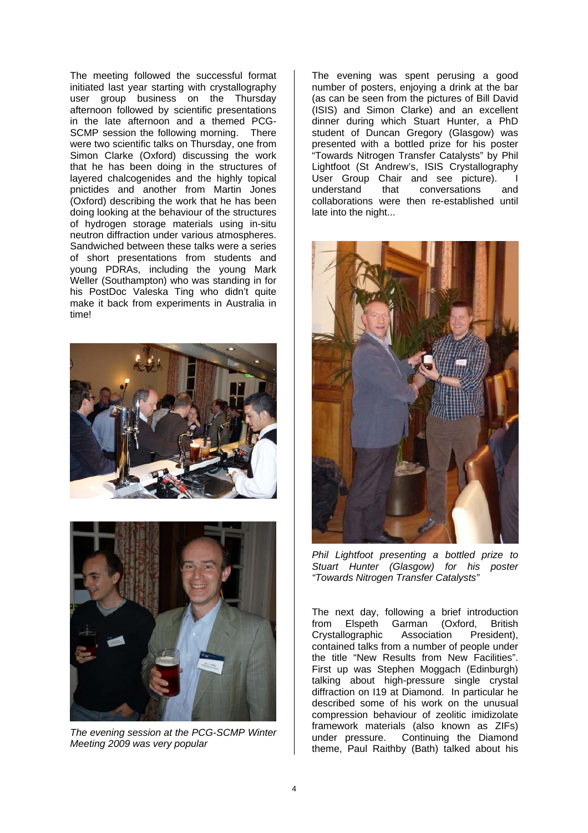The meeting followed the successful format initiated last year starting with crystallography user group business on the Thursday afternoon followed by scientific presentations in the late afternoon and a themed PCG-SCMP session the following morning. There were two scientific talks on Thursday, one from Simon Clarke (Oxford) discussing the work that he has been doing in the structures of layered chalcogenides and the highly topical pnictides and another from Martin Jones (Oxford) describing the work that he has been doing looking at the behaviour of the structures of hydrogen storage materials using in-situ neutron diffraction under various atmospheres. Sandwiched between these talks were a series of short presentations from students and young PDRAs, including the young Mark Weller (Southampton) who was standing in for his PostDoc Valeska Ting who didn't quite make it back from experiments in Australia in time!





*The evening session at the PCG-SCMP Winter Meeting 2009 was very popular* 

The evening was spent perusing a good number of posters, enjoying a drink at the bar (as can be seen from the pictures of Bill David (ISIS) and Simon Clarke) and an excellent dinner during which Stuart Hunter, a PhD student of Duncan Gregory (Glasgow) was presented with a bottled prize for his poster "Towards Nitrogen Transfer Catalysts" by Phil Lightfoot (St Andrew's, ISIS Crystallography User Group Chair and see picture). I<br>understand that conversations and that conversations and collaborations were then re-established until late into the night...



*Phil Lightfoot presenting a bottled prize to Stuart Hunter (Glasgow) for his poster "Towards Nitrogen Transfer Catalysts"* 

The next day, following a brief introduction from Elspeth Garman (Oxford, British Crystallographic Association President), contained talks from a number of people under the title "New Results from New Facilities". First up was Stephen Moggach (Edinburgh) talking about high-pressure single crystal diffraction on I19 at Diamond. In particular he described some of his work on the unusual compression behaviour of zeolitic imidizolate framework materials (also known as ZIFs) under pressure. Continuing the Diamond theme, Paul Raithby (Bath) talked about his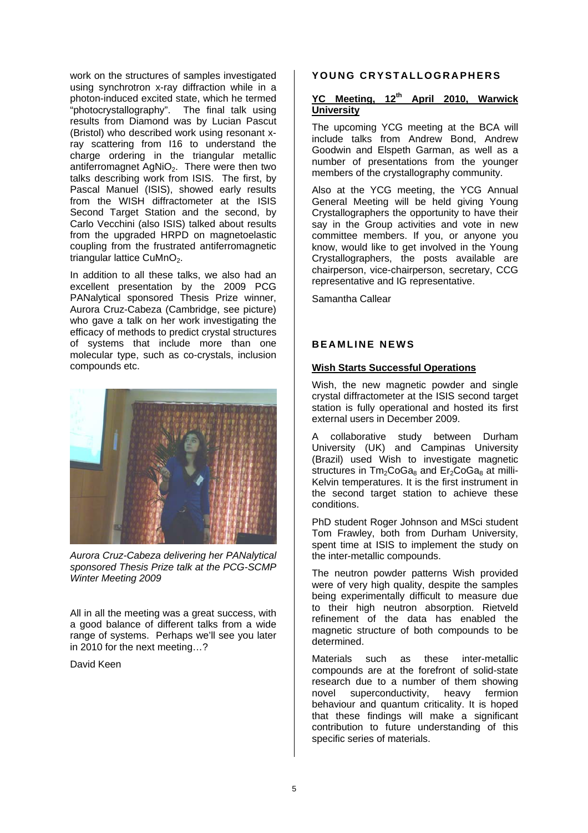work on the structures of samples investigated using synchrotron x-ray diffraction while in a photon-induced excited state, which he termed .<br>"photocrystallography". The final talk using results from Diamond was by Lucian Pascut (Bristol) who described work using resonant xray scattering from I16 to understand the charge ordering in the triangular metallic antiferromagnet AgNiO<sub>2</sub>. There were then two talks describing work from ISIS. The first, by Pascal Manuel (ISIS), showed early results from the WISH diffractometer at the ISIS Second Target Station and the second, by Carlo Vecchini (also ISIS) talked about results from the upgraded HRPD on magnetoelastic coupling from the frustrated antiferromagnetic triangular lattice  $CuMnO<sub>2</sub>$ .

In addition to all these talks, we also had an excellent presentation by the 2009 PCG PANalytical sponsored Thesis Prize winner, Aurora Cruz-Cabeza (Cambridge, see picture) who gave a talk on her work investigating the efficacy of methods to predict crystal structures of systems that include more than one molecular type, such as co-crystals, inclusion compounds etc.



*Aurora Cruz-Cabeza delivering her PANalytical sponsored Thesis Prize talk at the PCG-SCMP Winter Meeting 2009* 

All in all the meeting was a great success, with a good balance of different talks from a wide range of systems. Perhaps we'll see you later in 2010 for the next meeting…?

#### David Keen

#### **YOUNG CRYSTALLOGRAPHERS**

## **YC Meeting, 12th April 2010, Warwick University**

The upcoming YCG meeting at the BCA will include talks from Andrew Bond, Andrew Goodwin and Elspeth Garman, as well as a number of presentations from the younger members of the crystallography community.

Also at the YCG meeting, the YCG Annual General Meeting will be held giving Young Crystallographers the opportunity to have their say in the Group activities and vote in new committee members. If you, or anyone you know, would like to get involved in the Young Crystallographers, the posts available are chairperson, vice-chairperson, secretary, CCG representative and IG representative.

Samantha Callear

#### **BEAMLINE NEWS**

## **Wish Starts Successful Operations**

Wish, the new magnetic powder and single crystal diffractometer at the ISIS second target station is fully operational and hosted its first external users in December 2009.

collaborative study between Durham University (UK) and Campinas University (Brazil) used Wish to investigate magnetic structures in  $Tm<sub>2</sub>CoGa<sub>8</sub>$  and  $Er<sub>2</sub>CoGa<sub>8</sub>$  at milli-Kelvin temperatures. It is the first instrument in the second target station to achieve these conditions.

PhD student Roger Johnson and MSci student Tom Frawley, both from Durham University, spent time at ISIS to implement the study on the inter-metallic compounds.

The neutron powder patterns Wish provided were of very high quality, despite the samples being experimentally difficult to measure due to their high neutron absorption. Rietveld refinement of the data has enabled the magnetic structure of both compounds to be determined.

Materials such as these inter-metallic compounds are at the forefront of solid-state research due to a number of them showing novel superconductivity, heavy fermion behaviour and quantum criticality. It is hoped that these findings will make a significant contribution to future understanding of this specific series of materials.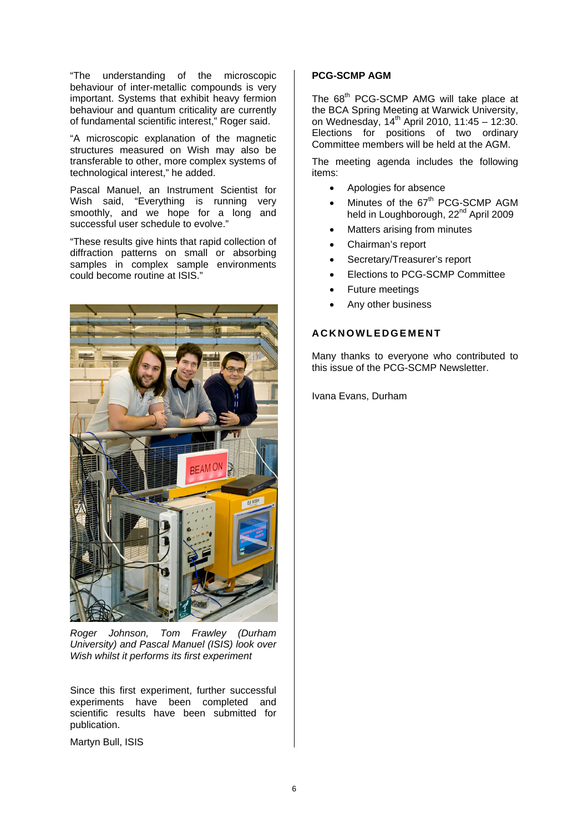"The understanding of the microscopic behaviour of inter-metallic compounds is very important. Systems that exhibit heavy fermion behaviour and quantum criticality are currently of fundamental scientific interest," Roger said.

"A microscopic explanation of the magnetic structures measured on Wish may also be transferable to other, more complex systems of technological interest," he added.

Pascal Manuel, an Instrument Scientist for Wish said, "Everything is running very smoothly, and we hope for a long and successful user schedule to evolve."

"These results give hints that rapid collection of diffraction patterns on small or absorbing samples in complex sample environments could become routine at ISIS."



*Roger Johnson, Tom Frawley (Durham University) and Pascal Manuel (ISIS) look over Wish whilst it performs its first experiment*

Since this first experiment, further successful experiments have been completed and scientific results have been submitted for publication.

Martyn Bull, ISIS

## **PCG-SCMP AGM**

The 68<sup>th</sup> PCG-SCMP AMG will take place at the BCA Spring Meeting at Warwick University, on Wednesday, 14<sup>th</sup> April 2010, 11:45 - 12:30. Elections for positions of two ordinary Committee members will be held at the AGM.

The meeting agenda includes the following items:

- Apologies for absence
- Minutes of the  $67<sup>th</sup>$  PCG-SCMP AGM held in Loughborough, 22<sup>nd</sup> April 2009
- Matters arising from minutes
- Chairman's report
- Secretary/Treasurer's report
- Elections to PCG-SCMP Committee
- Future meetings
- Any other business

# **ACKNOWLEDGEMENT**

Many thanks to everyone who contributed to this issue of the PCG-SCMP Newsletter.

Ivana Evans, Durham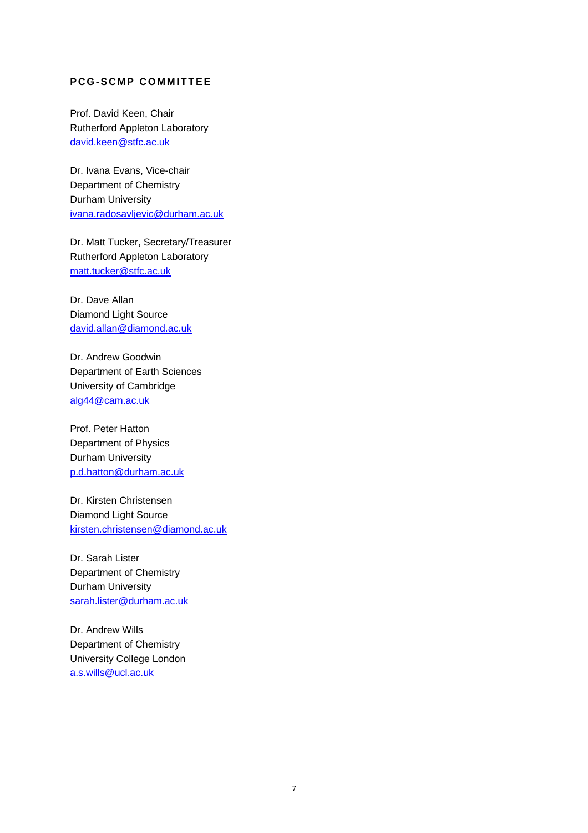# **PCG-SCMP COMMITTEE**

Prof. David Keen, Chair Rutherford Appleton Laboratory david.keen@stfc.ac.uk

Dr. Ivana Evans, Vice-chair Department of Chemistry Durham University ivana.radosavljevic@durham.ac.uk

Dr. Matt Tucker, Secretary/Treasurer Rutherford Appleton Laboratory matt.tucker@stfc.ac.uk

Dr. Dave Allan Diamond Light Source david.allan@diamond.ac.uk

Dr. Andrew Goodwin Department of Earth Sciences University of Cambridge alg44@cam.ac.uk

Prof. Peter Hatton Department of Physics Durham University p.d.hatton@durham.ac.uk

Dr. Kirsten Christensen Diamond Light Source kirsten.christensen@diamond.ac.uk

Dr. Sarah Lister Department of Chemistry Durham University sarah.lister@durham.ac.uk

Dr. Andrew Wills Department of Chemistry University College London a.s.wills@ucl.ac.uk